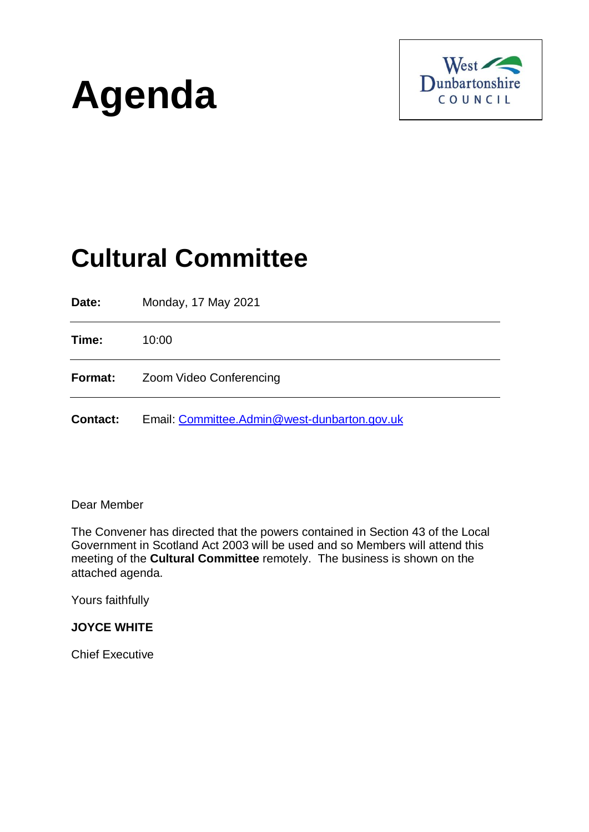



# **Cultural Committee**

| Date:           | Monday, 17 May 2021                          |
|-----------------|----------------------------------------------|
| Time:           | 10:00                                        |
| <b>Format:</b>  | Zoom Video Conferencing                      |
| <b>Contact:</b> | Email: Committee.Admin@west-dunbarton.gov.uk |

Dear Member

The Convener has directed that the powers contained in Section 43 of the Local Government in Scotland Act 2003 will be used and so Members will attend this meeting of the **Cultural Committee** remotely. The business is shown on the attached agenda.

Yours faithfully

# **JOYCE WHITE**

Chief Executive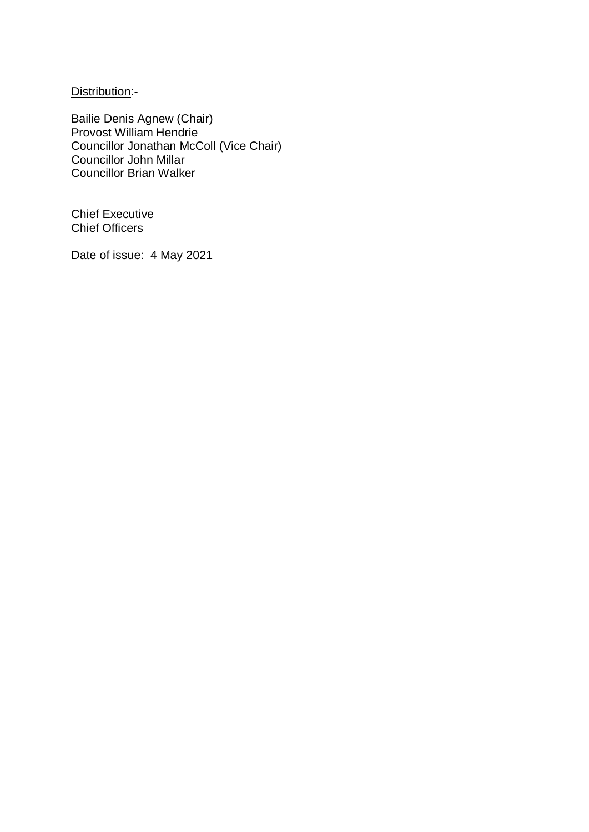Distribution:-

Bailie Denis Agnew (Chair) Provost William Hendrie Councillor Jonathan McColl (Vice Chair) Councillor John Millar Councillor Brian Walker

Chief Executive Chief Officers

Date of issue: 4 May 2021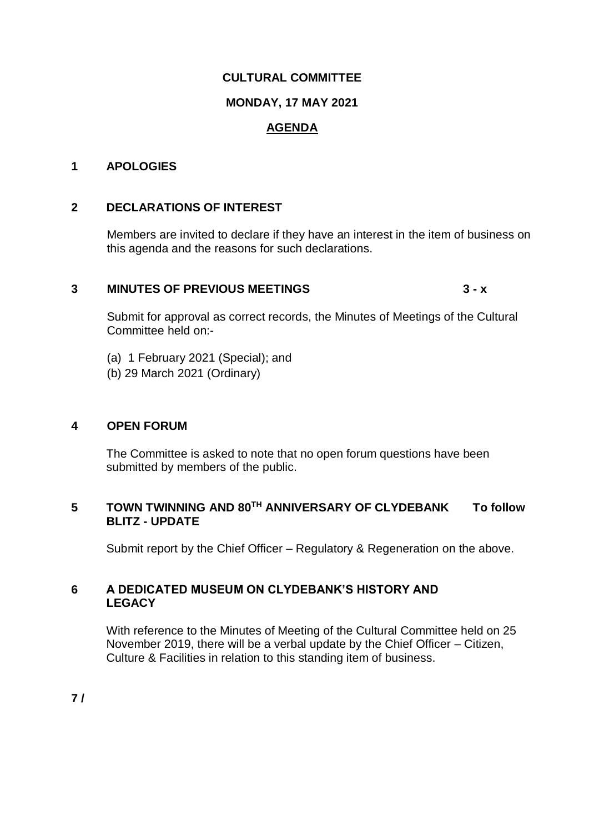#### **CULTURAL COMMITTEE**

# **MONDAY, 17 MAY 2021**

# **AGENDA**

# **1 APOLOGIES**

#### **2 DECLARATIONS OF INTEREST**

Members are invited to declare if they have an interest in the item of business on this agenda and the reasons for such declarations.

# **3 MINUTES OF PREVIOUS MEETINGS 3 - x**

Submit for approval as correct records, the Minutes of Meetings of the Cultural Committee held on:-

- (a) 1 February 2021 (Special); and
- (b) 29 March 2021 (Ordinary)

#### **4 OPEN FORUM**

The Committee is asked to note that no open forum questions have been submitted by members of the public.

# **5 TOWN TWINNING AND 80TH ANNIVERSARY OF CLYDEBANK To follow BLITZ - UPDATE**

Submit report by the Chief Officer – Regulatory & Regeneration on the above.

# **6 A DEDICATED MUSEUM ON CLYDEBANK'S HISTORY AND LEGACY**

With reference to the Minutes of Meeting of the Cultural Committee held on 25 November 2019, there will be a verbal update by the Chief Officer – Citizen, Culture & Facilities in relation to this standing item of business.